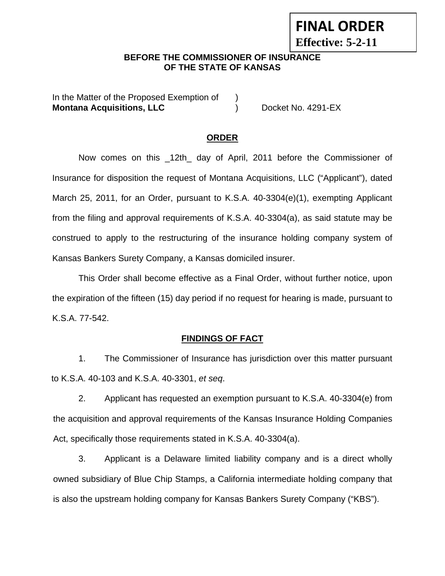# **FINAL ORDER**

**Effective: 5-2-11** 

## **BEFORE THE COMMISSIONER OF INSURANCE OF THE STATE OF KANSAS**

In the Matter of the Proposed Exemption of ) **Montana Acquisitions, LLC** (and ) Docket No. 4291-EX

## **ORDER**

Now comes on this \_12th\_ day of April, 2011 before the Commissioner of Insurance for disposition the request of Montana Acquisitions, LLC ("Applicant"), dated March 25, 2011, for an Order, pursuant to K.S.A. 40-3304(e)(1), exempting Applicant from the filing and approval requirements of K.S.A. 40-3304(a), as said statute may be construed to apply to the restructuring of the insurance holding company system of Kansas Bankers Surety Company, a Kansas domiciled insurer.

This Order shall become effective as a Final Order, without further notice, upon the expiration of the fifteen (15) day period if no request for hearing is made, pursuant to K.S.A. 77-542.

## **FINDINGS OF FACT**

1. The Commissioner of Insurance has jurisdiction over this matter pursuant to K.S.A. 40-103 and K.S.A. 40-3301, *et seq*.

2. Applicant has requested an exemption pursuant to K.S.A. 40-3304(e) from the acquisition and approval requirements of the Kansas Insurance Holding Companies Act, specifically those requirements stated in K.S.A. 40-3304(a).

3. Applicant is a Delaware limited liability company and is a direct wholly owned subsidiary of Blue Chip Stamps, a California intermediate holding company that is also the upstream holding company for Kansas Bankers Surety Company ("KBS").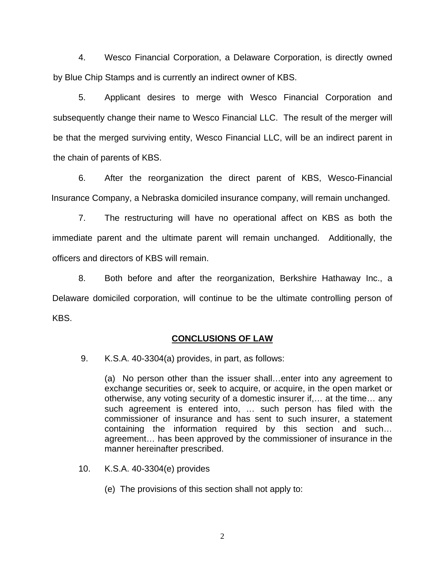4. Wesco Financial Corporation, a Delaware Corporation, is directly owned by Blue Chip Stamps and is currently an indirect owner of KBS.

5. Applicant desires to merge with Wesco Financial Corporation and subsequently change their name to Wesco Financial LLC. The result of the merger will be that the merged surviving entity, Wesco Financial LLC, will be an indirect parent in the chain of parents of KBS.

 6. After the reorganization the direct parent of KBS, Wesco-Financial Insurance Company, a Nebraska domiciled insurance company, will remain unchanged.

 7. The restructuring will have no operational affect on KBS as both the immediate parent and the ultimate parent will remain unchanged. Additionally, the officers and directors of KBS will remain.

 8. Both before and after the reorganization, Berkshire Hathaway Inc., a Delaware domiciled corporation, will continue to be the ultimate controlling person of KBS.

#### **CONCLUSIONS OF LAW**

9. K.S.A. 40-3304(a) provides, in part, as follows:

(a) No person other than the issuer shall…enter into any agreement to exchange securities or, seek to acquire, or acquire, in the open market or otherwise, any voting security of a domestic insurer if,… at the time… any such agreement is entered into, … such person has filed with the commissioner of insurance and has sent to such insurer, a statement containing the information required by this section and such… agreement… has been approved by the commissioner of insurance in the manner hereinafter prescribed.

- 10. K.S.A. 40-3304(e) provides
	- (e) The provisions of this section shall not apply to: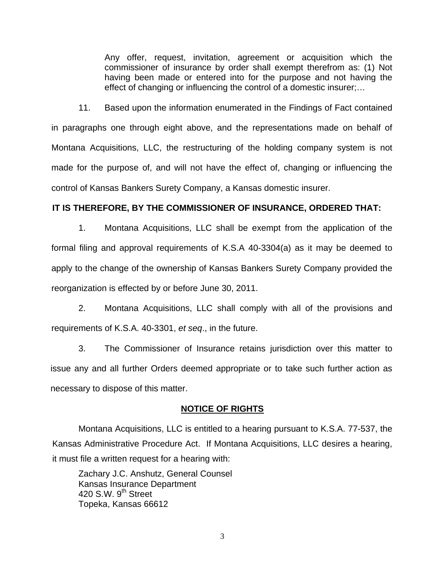Any offer, request, invitation, agreement or acquisition which the commissioner of insurance by order shall exempt therefrom as: (1) Not having been made or entered into for the purpose and not having the effect of changing or influencing the control of a domestic insurer;…

11. Based upon the information enumerated in the Findings of Fact contained in paragraphs one through eight above, and the representations made on behalf of Montana Acquisitions, LLC, the restructuring of the holding company system is not made for the purpose of, and will not have the effect of, changing or influencing the control of Kansas Bankers Surety Company, a Kansas domestic insurer.

### **IT IS THEREFORE, BY THE COMMISSIONER OF INSURANCE, ORDERED THAT:**

1. Montana Acquisitions, LLC shall be exempt from the application of the formal filing and approval requirements of K.S.A 40-3304(a) as it may be deemed to apply to the change of the ownership of Kansas Bankers Surety Company provided the reorganization is effected by or before June 30, 2011.

2. Montana Acquisitions, LLC shall comply with all of the provisions and requirements of K.S.A. 40-3301, *et seq*., in the future.

3. The Commissioner of Insurance retains jurisdiction over this matter to issue any and all further Orders deemed appropriate or to take such further action as necessary to dispose of this matter.

#### **NOTICE OF RIGHTS**

Montana Acquisitions, LLC is entitled to a hearing pursuant to K.S.A. 77-537, the Kansas Administrative Procedure Act. If Montana Acquisitions, LLC desires a hearing, it must file a written request for a hearing with:

Zachary J.C. Anshutz, General Counsel Kansas Insurance Department 420 S.W.  $9<sup>th</sup>$  Street Topeka, Kansas 66612

3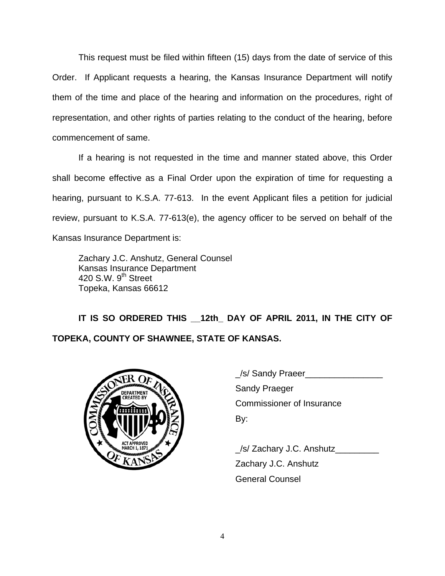This request must be filed within fifteen (15) days from the date of service of this Order. If Applicant requests a hearing, the Kansas Insurance Department will notify them of the time and place of the hearing and information on the procedures, right of representation, and other rights of parties relating to the conduct of the hearing, before commencement of same.

If a hearing is not requested in the time and manner stated above, this Order shall become effective as a Final Order upon the expiration of time for requesting a hearing, pursuant to K.S.A. 77-613. In the event Applicant files a petition for judicial review, pursuant to K.S.A. 77-613(e), the agency officer to be served on behalf of the Kansas Insurance Department is:

Zachary J.C. Anshutz, General Counsel Kansas Insurance Department 420 S.W. 9<sup>th</sup> Street Topeka, Kansas 66612

**IT IS SO ORDERED THIS \_\_12th\_ DAY OF APRIL 2011, IN THE CITY OF TOPEKA, COUNTY OF SHAWNEE, STATE OF KANSAS.** 



|                   | S/ Sandy Praeer                  |
|-------------------|----------------------------------|
| <b>DEPARTMENT</b> | <b>Sandy Praeger</b>             |
| <b>CREATED BY</b> | <b>Commissioner of Insurance</b> |
|                   | By:                              |
|                   |                                  |

/s/ Zachary J.C. Anshutz Zachary J.C. Anshutz General Counsel